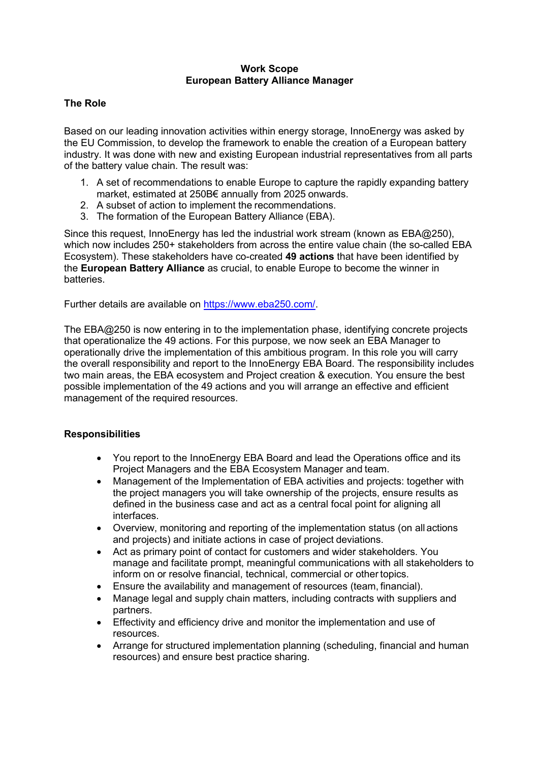#### **Work Scope European Battery Alliance Manager**

## **The Role**

Based on our leading innovation activities within energy storage, InnoEnergy was asked by the EU Commission, to develop the framework to enable the creation of a European battery industry. It was done with new and existing European industrial representatives from all parts of the battery value chain. The result was:

- 1. A set of recommendations to enable Europe to capture the rapidly expanding battery market, estimated at 250B€ annually from 2025 onwards.
- 2. A subset of action to implement the recommendations.
- 3. The formation of the European Battery Alliance (EBA).

Since this request, InnoEnergy has led the industrial work stream (known as EBA@250), which now includes 250+ stakeholders from across the entire value chain (the so-called EBA Ecosystem). These stakeholders have co-created **49 actions** that have been identified by the **European Battery Alliance** as crucial, to enable Europe to become the winner in batteries.

Further details are available on [https://www.eba250.com/.](https://www.eba250.com/)

The EBA@250 is now entering in to the implementation phase, identifying concrete projects that operationalize the 49 actions. For this purpose, we now seek an EBA Manager to operationally drive the implementation of this ambitious program. In this role you will carry the overall responsibility and report to the InnoEnergy EBA Board. The responsibility includes two main areas, the EBA ecosystem and Project creation & execution. You ensure the best possible implementation of the 49 actions and you will arrange an effective and efficient management of the required resources.

### **Responsibilities**

- You report to the InnoEnergy EBA Board and lead the Operations office and its Project Managers and the EBA Ecosystem Manager and team.
- Management of the Implementation of EBA activities and projects: together with the project managers you will take ownership of the projects, ensure results as defined in the business case and act as a central focal point for aligning all interfaces.
- Overview, monitoring and reporting of the implementation status (on all actions and projects) and initiate actions in case of project deviations.
- Act as primary point of contact for customers and wider stakeholders. You manage and facilitate prompt, meaningful communications with all stakeholders to inform on or resolve financial, technical, commercial or other topics.
- Ensure the availability and management of resources (team, financial).
- Manage legal and supply chain matters, including contracts with suppliers and partners.
- Effectivity and efficiency drive and monitor the implementation and use of resources.
- Arrange for structured implementation planning (scheduling, financial and human resources) and ensure best practice sharing.